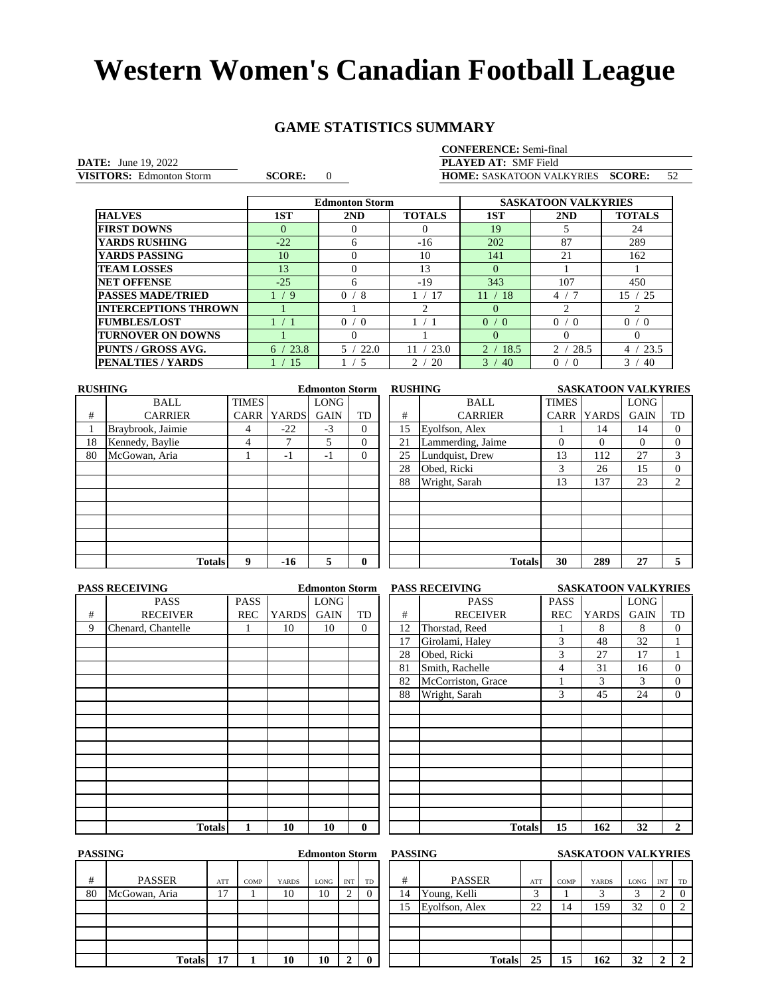### **GAME STATISTICS SUMMARY**

### **CONFERENCE:** Semi-final

**DATE:** June 19, 2022<br> **VISITORS:** Edmonton Storm **CORE:** 0 VISITORS: Edmonton Storm

**VISITORS:** Edmonton Storm **SCORE:** 0 **HOME:** SASKATOON VALKYRIES **SCORE:** 52 PLAYED AT: SMF Field

|                             |              | <b>Edmonton Storm</b>  |               |                    | <b>SASKATOON VALKYRIES</b> |                      |
|-----------------------------|--------------|------------------------|---------------|--------------------|----------------------------|----------------------|
| <b>HALVES</b>               | 1ST          | 2ND                    | <b>TOTALS</b> | 1ST                | 2ND                        | <b>TOTALS</b>        |
| <b>FIRST DOWNS</b>          | $\Omega$     |                        | $\theta$      | 19                 |                            | 24                   |
| <b>YARDS RUSHING</b>        | $-22$        | 6                      | $-16$         | 202                | 87                         | 289                  |
| YARDS PASSING               | 10           |                        | 10            | 141                | 21                         | 162                  |
| <b>TEAM LOSSES</b>          | 13           |                        | 13            | $\Omega$           |                            |                      |
| <b>NET OFFENSE</b>          | $-25$        | 6                      | $-19$         | 343                | 107                        | 450                  |
| <b>PASSES MADE/TRIED</b>    | $\mathbf{q}$ | $\Omega$<br>/8         | -17           | -18<br>11          | 4                          | 25<br>15             |
| <b>INTERCEPTIONS THROWN</b> |              |                        |               | 0                  |                            |                      |
| <b>FUMBLES/LOST</b>         |              | $\Omega$<br>$\sqrt{0}$ |               | 0/<br>$^{\circ}$ 0 | 0/<br>ິດ                   | 0/0                  |
| <b>TURNOVER ON DOWNS</b>    |              |                        |               | $\Omega$           |                            | $\Omega$             |
| PUNTS / GROSS AVG.          | 23.8<br>6    | 22.0<br>5 <sub>1</sub> | 23.0          | 18.5               | 2/<br>28.5                 | 23.5<br>4            |
| <b>PENALTIES / YARDS</b>    | 15           | -5                     | 20<br>າ       | 3<br>40            | 0/<br>$\Omega$             | 3 <sub>1</sub><br>40 |

| <b>RUSHING</b> |                   |              |              | <b>Edmonton Storm</b> |          |    | <b>RUSHING</b>    |              | <b>SASKATOON VALKYRIES</b> |             |                |
|----------------|-------------------|--------------|--------------|-----------------------|----------|----|-------------------|--------------|----------------------------|-------------|----------------|
|                | <b>BALL</b>       | <b>TIMES</b> |              | <b>LONG</b>           |          |    | BALL              | <b>TIMES</b> |                            | <b>LONG</b> |                |
| #              | <b>CARRIER</b>    | <b>CARR</b>  | <b>YARDS</b> | <b>GAIN</b>           | TD       | #  | <b>CARRIER</b>    | <b>CARR</b>  | <b>YARDS</b>               | <b>GAIN</b> | TD             |
|                | Braybrook, Jaimie | 4            | $-22$        | $-3$                  | $\Omega$ | 15 | Eyolfson, Alex    |              | 14                         | 14          | 0              |
| 18             | Kennedy, Baylie   | 4            |              | 5                     | $\Omega$ | 21 | Lammerding, Jaime | $\Omega$     | $\Omega$                   | $\Omega$    | 0              |
| 80             | McGowan, Aria     |              | - 1          | $-1$                  | $\Omega$ | 25 | Lundquist, Drew   | 13           | 112                        | 27          | 3              |
|                |                   |              |              |                       |          | 28 | Obed, Ricki       | 3            | 26                         | 15          | 0              |
|                |                   |              |              |                       |          | 88 | Wright, Sarah     | 13           | 137                        | 23          | $\overline{2}$ |
|                |                   |              |              |                       |          |    |                   |              |                            |             |                |
|                |                   |              |              |                       |          |    |                   |              |                            |             |                |
|                |                   |              |              |                       |          |    |                   |              |                            |             |                |
|                |                   |              |              |                       |          |    |                   |              |                            |             |                |
|                |                   |              |              |                       |          |    |                   |              |                            |             |                |
|                | <b>Totals</b>     | 9            | $-16$        | 5                     | 0        |    | <b>Totals</b>     | 30           | 289                        | 27          |                |
|                |                   |              |              |                       |          |    |                   |              |                            |             |                |

|   | <b>PASS RECEIVING</b> |             |              | <b>Edmonton Storm</b> |          |    | <b>PASS RECEIVING</b> |             | <b>SASKATOON VALKYRIES</b> |             |                |
|---|-----------------------|-------------|--------------|-----------------------|----------|----|-----------------------|-------------|----------------------------|-------------|----------------|
|   | <b>PASS</b>           | <b>PASS</b> |              | LONG                  |          |    | <b>PASS</b>           | <b>PASS</b> |                            | LONG        |                |
| # | <b>RECEIVER</b>       | <b>REC</b>  | <b>YARDS</b> | <b>GAIN</b>           | TD       | #  | <b>RECEIVER</b>       | <b>REC</b>  | <b>YARDS</b>               | <b>GAIN</b> | TD             |
| 9 | Chenard, Chantelle    |             | 10           | 10                    | $\Omega$ | 12 | Thorstad, Reed        |             | 8                          | 8           | $\overline{0}$ |
|   |                       |             |              |                       |          | 17 | Girolami, Haley       | 3           | 48                         | 32          |                |
|   |                       |             |              |                       |          | 28 | Obed, Ricki           | 3           | 27                         | 17          |                |
|   |                       |             |              |                       |          | 81 | Smith, Rachelle       | 4           | 31                         | 16          | $\overline{0}$ |
|   |                       |             |              |                       |          | 82 | McCorriston, Grace    |             | 3                          | 3           | $\overline{0}$ |
|   |                       |             |              |                       |          | 88 | Wright, Sarah         | 3           | 45                         | 24          | $\overline{0}$ |
|   |                       |             |              |                       |          |    |                       |             |                            |             |                |
|   |                       |             |              |                       |          |    |                       |             |                            |             |                |
|   |                       |             |              |                       |          |    |                       |             |                            |             |                |
|   |                       |             |              |                       |          |    |                       |             |                            |             |                |
|   |                       |             |              |                       |          |    |                       |             |                            |             |                |
|   |                       |             |              |                       |          |    |                       |             |                            |             |                |
|   |                       |             |              |                       |          |    |                       |             |                            |             |                |
|   |                       |             |              |                       |          |    |                       |             |                            |             |                |
|   |                       |             |              |                       |          |    |                       |             |                            |             |                |
|   | <b>Totals</b>         |             | 10           | 10                    | $\bf{0}$ |    | <b>Totals</b>         | 15          | 162                        | 32          | $\mathbf{2}$   |

|    | PASS RECEIVING     |             | SASKATOON VALKYRIES |             |              |
|----|--------------------|-------------|---------------------|-------------|--------------|
|    | <b>PASS</b>        | <b>PASS</b> |                     | <b>LONG</b> |              |
| #  | RECEIVER           | <b>REC</b>  | <b>YARDS</b>        | <b>GAIN</b> | TD           |
| 12 | Thorstad, Reed     |             | 8                   | 8           | $\Omega$     |
| 17 | Girolami, Haley    | 3           | 48                  | 32          |              |
| 28 | Obed, Ricki        | 3           | 27                  | 17          | 1            |
| 81 | Smith, Rachelle    | 4           | 31                  | 16          | $\Omega$     |
| 82 | McCorriston, Grace | 1           | 3                   | 3           | $\mathbf{0}$ |
| 88 | Wright, Sarah      | 3           | 45                  | 24          | $\mathbf{0}$ |
|    |                    |             |                     |             |              |
|    |                    |             |                     |             |              |
|    |                    |             |                     |             |              |
|    |                    |             |                     |             |              |
|    |                    |             |                     |             |              |
|    |                    |             |                     |             |              |
|    |                    |             |                     |             |              |
|    |                    |             |                     |             |              |
|    |                    |             |                     |             |              |
|    | <b>Totals</b>      | 15          | 162                 | 32          | 2            |

| <b>PASSING</b> |               |     |      |              | <b>Edmonton Storm</b> |            |              | <b>PASSING</b> |                |     |      | <b>SASKATOON VALKYRIES</b> |      |            |                |
|----------------|---------------|-----|------|--------------|-----------------------|------------|--------------|----------------|----------------|-----|------|----------------------------|------|------------|----------------|
| #              | <b>PASSER</b> | ATT | COMP | <b>YARDS</b> | LONG                  | <b>INT</b> | TD           | #              | <b>PASSER</b>  | ATT | COMP | <b>YARDS</b>               | LONG | <b>INT</b> | TD             |
| 80             | McGowan, Aria | 17  |      | 10           | 10                    |            |              | 14             | Young, Kelli   | ⌒   |      |                            |      |            | 0              |
|                |               |     |      |              |                       |            |              | 15             | Evolfson, Alex | 22  | 14   | 159                        | 32   |            |                |
|                |               |     |      |              |                       |            |              |                |                |     |      |                            |      |            |                |
|                |               |     |      |              |                       |            |              |                |                |     |      |                            |      |            |                |
|                |               |     |      |              |                       |            |              |                |                |     |      |                            |      |            |                |
|                | <b>Totals</b> | 17  |      | 10           | 10                    |            | $\mathbf{0}$ |                | <b>Totals</b>  | 25  | 15   | 162                        | 32   |            | $\overline{2}$ |

|               |     |      |              | <b>Edmonton Storm</b> |            |                | PASSING |                |        |      | SASKATOON VALKYRIES |             |            |          |
|---------------|-----|------|--------------|-----------------------|------------|----------------|---------|----------------|--------|------|---------------------|-------------|------------|----------|
|               | ATT | COMP | <b>YARDS</b> | LONG                  | <b>INT</b> | <b>TD</b>      | #       | <b>PASSER</b>  | ATT    | COMP | <b>YARDS</b>        | <b>LONG</b> | <b>INT</b> | TD       |
|               | 17  |      | 10           | 10                    |            | $\overline{0}$ | 14      | Young, Kelli   | ⌒<br>ت |      | 3                   |             | ◠<br>∼     | $\theta$ |
|               |     |      |              |                       |            |                | 15      | Eyolfson, Alex | 22     | 14   | 159                 | 32          | $\theta$   |          |
|               |     |      |              |                       |            |                |         |                |        |      |                     |             |            |          |
|               |     |      |              |                       |            |                |         |                |        |      |                     |             |            |          |
|               |     |      |              |                       |            |                |         |                |        |      |                     |             |            |          |
| <b>Totals</b> | 17  |      | 10           | 10                    |            | $\mathbf{0}$   |         | <b>Totals</b>  | 25     | 15   | 162                 | 32          |            |          |
|               |     |      |              |                       |            |                |         |                |        |      |                     |             |            |          |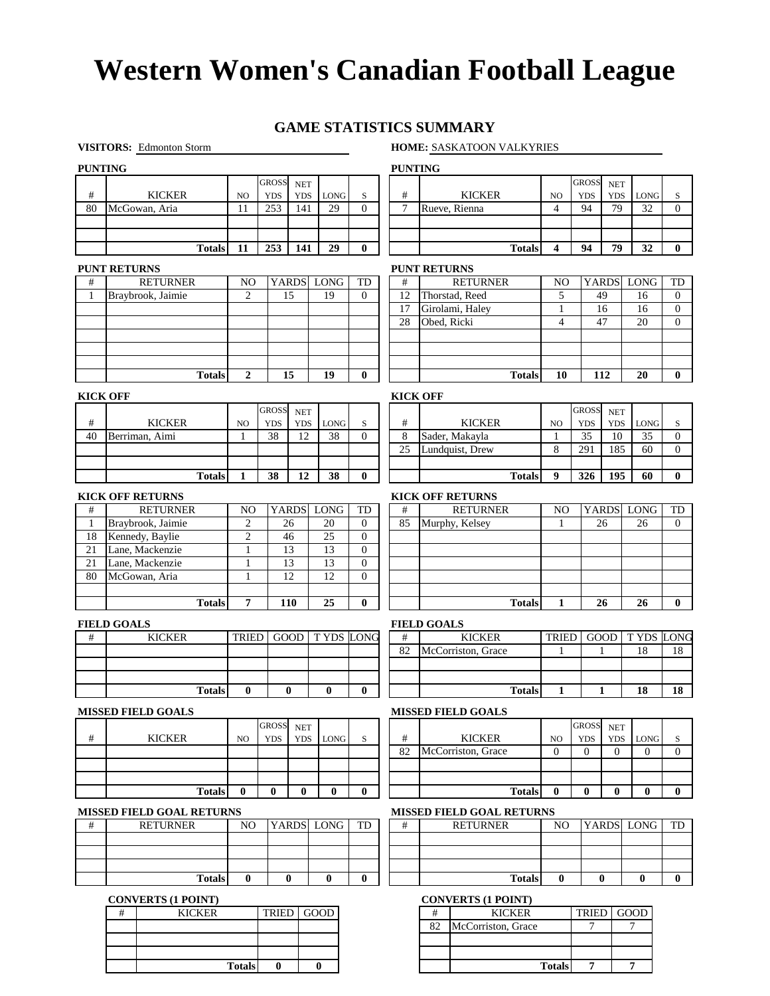### **GAME STATISTICS SUMMARY**

### **VISITORS:** Edmonton Storm **HOME:** SASKATOON VALKYRIES

**Totals 7 7**

| <b>PUNTING</b> |                     |                                                     |               |                  |              |                      |             |                  |                | <b>PUNTING</b>      |                                                     |                          |                              |                              |                  |                     |
|----------------|---------------------|-----------------------------------------------------|---------------|------------------|--------------|----------------------|-------------|------------------|----------------|---------------------|-----------------------------------------------------|--------------------------|------------------------------|------------------------------|------------------|---------------------|
|                |                     |                                                     |               |                  | <b>GROSS</b> | <b>NET</b>           |             |                  |                |                     |                                                     |                          | <b>GROSS</b>                 | <b>NET</b>                   |                  |                     |
| $\#$           |                     | <b>KICKER</b>                                       |               | NO               | <b>YDS</b>   | <b>YDS</b>           | LONG        | S                | $\#$           |                     | <b>KICKER</b>                                       | NO                       | <b>YDS</b>                   | <b>YDS</b>                   | LONG             | S                   |
| 80             |                     | McGowan, Aria                                       |               | 11               | 253          | 141                  | 29          | $\Omega$         | $\overline{7}$ |                     | Rueve, Rienna                                       | $\overline{4}$           | 94                           | 79                           | 32               | $\mathbf{0}$        |
|                |                     |                                                     |               |                  |              |                      |             |                  |                |                     |                                                     |                          |                              |                              |                  |                     |
|                |                     |                                                     | <b>Totals</b> | 11               | 253          | 141                  | 29          | $\bf{0}$         |                |                     | <b>Totals</b>                                       | 4                        | 94                           | 79                           | 32               | $\bf{0}$            |
|                |                     |                                                     |               |                  |              |                      |             |                  |                |                     |                                                     |                          |                              |                              |                  |                     |
| #              | <b>PUNT RETURNS</b> | <b>RETURNER</b>                                     |               | N <sub>O</sub>   |              | <b>YARDS</b>         | <b>LONG</b> | TD               | #              | <b>PUNT RETURNS</b> | <b>RETURNER</b>                                     | N <sub>O</sub>           |                              |                              | YARDS LONG       | TD                  |
| 1              |                     | Braybrook, Jaimie                                   |               | $\overline{2}$   |              | 15                   | 19          | $\theta$         | 12             |                     | Thorstad, Reed                                      | 5                        |                              | 49                           | 16               | $\mathbf{0}$        |
|                |                     |                                                     |               |                  |              |                      |             |                  | 17             |                     | Girolami, Haley                                     | $\mathbf{1}$             |                              | 16                           | 16               | $\mathbf{0}$        |
|                |                     |                                                     |               |                  |              |                      |             |                  | 28             |                     | Obed, Ricki                                         | $\overline{\mathcal{L}}$ |                              | 47                           | 20               | $\mathbf{0}$        |
|                |                     |                                                     |               |                  |              |                      |             |                  |                |                     |                                                     |                          |                              |                              |                  |                     |
|                |                     |                                                     |               |                  |              |                      |             |                  |                |                     |                                                     |                          |                              |                              |                  |                     |
|                |                     |                                                     |               |                  |              |                      |             |                  |                |                     |                                                     |                          |                              |                              |                  |                     |
|                |                     |                                                     | <b>Totals</b> | $\boldsymbol{2}$ |              | 15                   | 19          | $\bf{0}$         |                |                     | <b>Totals</b>                                       | 10                       |                              | 112                          | 20               | $\bf{0}$            |
|                | <b>KICK OFF</b>     |                                                     |               |                  |              |                      |             |                  |                | <b>KICK OFF</b>     |                                                     |                          |                              |                              |                  |                     |
|                |                     |                                                     |               |                  | <b>GROSS</b> | $\operatorname{NET}$ |             |                  |                |                     |                                                     |                          | <b>GROSS</b>                 | $\operatorname{NET}$         |                  |                     |
| $\#$           |                     | <b>KICKER</b>                                       |               | NO               | <b>YDS</b>   | <b>YDS</b>           | <b>LONG</b> | S                | #              |                     | <b>KICKER</b>                                       | NO                       | <b>YDS</b>                   | <b>YDS</b>                   | <b>LONG</b>      | S                   |
| 40             |                     | Berriman, Aimi                                      |               | 1                | 38           | 12                   | 38          | $\mathbf{0}$     | 8              |                     | Sader, Makayla                                      | $\mathbf{1}$             | 35                           | 10                           | 35               | $\mathbf{0}$        |
|                |                     |                                                     |               |                  |              |                      |             |                  | 25             |                     | Lundquist, Drew                                     | 8                        | 291                          | 185                          | 60               | $\mathbf{0}$        |
|                |                     |                                                     |               |                  |              |                      |             |                  |                |                     |                                                     |                          |                              |                              |                  |                     |
|                |                     |                                                     | <b>Totals</b> | 1                | 38           | 12                   | 38          | $\bf{0}$         |                |                     | <b>Totals</b>                                       | 9                        | 326                          | 195                          | 60               | $\bf{0}$            |
|                |                     | <b>KICK OFF RETURNS</b>                             |               |                  |              |                      |             |                  |                |                     | <b>KICK OFF RETURNS</b>                             |                          |                              |                              |                  |                     |
| #              |                     | <b>RETURNER</b>                                     |               | N <sub>O</sub>   |              | <b>YARDS</b>         | LONG        | TD               | #              |                     | <b>RETURNER</b>                                     | N <sub>O</sub>           |                              |                              | YARDS LONG       | TD                  |
| $\mathbf{1}$   |                     | Braybrook, Jaimie                                   |               | $\overline{c}$   |              | 26                   | 20          | $\theta$         | 85             |                     | Murphy, Kelsey                                      | $\mathbf{1}$             |                              | 26                           | 26               | $\Omega$            |
| 18             |                     | Kennedy, Baylie                                     |               | $\mathfrak{2}$   |              | 46                   | 25          | $\theta$         |                |                     |                                                     |                          |                              |                              |                  |                     |
| 21             |                     | Lane, Mackenzie                                     |               | 1                |              | 13                   | 13          | $\mathbf{0}$     |                |                     |                                                     |                          |                              |                              |                  |                     |
| 21             |                     | Lane, Mackenzie                                     |               | 1                |              | 13                   | 13          | $\mathbf{0}$     |                |                     |                                                     |                          |                              |                              |                  |                     |
| 80             |                     | McGowan, Aria                                       |               | 1                |              | 12                   | 12          | $\mathbf{0}$     |                |                     |                                                     |                          |                              |                              |                  |                     |
|                |                     |                                                     | <b>Totals</b> | $\overline{7}$   |              | 110                  | 25          | $\bf{0}$         |                |                     | <b>Totals</b>                                       | 1                        |                              | 26                           | 26               | $\bf{0}$            |
|                |                     |                                                     |               |                  |              |                      |             |                  |                |                     |                                                     |                          |                              |                              |                  |                     |
|                | <b>FIELD GOALS</b>  |                                                     |               |                  |              |                      |             |                  |                | <b>FIELD GOALS</b>  |                                                     |                          |                              |                              |                  |                     |
| #              |                     | <b>KICKER</b>                                       |               | <b>TRIED</b>     |              | GOOD                 |             | <b>TYDS LONG</b> | #              |                     | <b>KICKER</b>                                       | <b>TRIED</b>             |                              | GOOD                         | T YDS            | LONG                |
|                |                     |                                                     |               |                  |              |                      |             |                  | 82             |                     | McCorriston, Grace                                  | 1                        |                              | $\mathbf{1}$                 | 18               | 18                  |
|                |                     |                                                     |               |                  |              |                      |             |                  |                |                     |                                                     |                          |                              |                              |                  |                     |
|                |                     |                                                     | <b>Totals</b> | $\bf{0}$         |              | $\bf{0}$             | $\bf{0}$    | $\bf{0}$         |                |                     | <b>Totals</b>                                       | 1                        |                              | 1                            | 18               | 18                  |
|                |                     |                                                     |               |                  |              |                      |             |                  |                |                     |                                                     |                          |                              |                              |                  |                     |
|                |                     | <b>MISSED FIELD GOALS</b>                           |               |                  |              |                      |             |                  |                |                     | <b>MISSED FIELD GOALS</b>                           |                          |                              |                              |                  |                     |
|                |                     |                                                     |               |                  | <b>GROSS</b> | $\operatorname{NET}$ |             |                  |                |                     |                                                     |                          | <b>GROSS</b>                 | $\operatorname{NET}$         |                  |                     |
| $\#$           |                     | <b>KICKER</b>                                       |               | NO               | <b>YDS</b>   | YDS                  | <b>LONG</b> | S                | #<br>82        |                     | <b>KICKER</b><br>McCorriston, Grace                 | NO<br>$\mathbf{0}$       | <b>YDS</b><br>$\overline{0}$ | <b>YDS</b><br>$\overline{0}$ | LONG<br>$\Omega$ | S<br>$\overline{0}$ |
|                |                     |                                                     |               |                  |              |                      |             |                  |                |                     |                                                     |                          |                              |                              |                  |                     |
|                |                     |                                                     |               |                  |              |                      |             |                  |                |                     |                                                     |                          |                              |                              |                  |                     |
|                |                     |                                                     | <b>Totals</b> | $\bf{0}$         | $\bf{0}$     | $\bf{0}$             | $\bf{0}$    | $\bf{0}$         |                |                     | <b>Totals</b>                                       | $\bf{0}$                 | $\bf{0}$                     | $\bf{0}$                     | $\bf{0}$         | $\bf{0}$            |
|                |                     |                                                     |               |                  |              |                      |             |                  |                |                     |                                                     |                          |                              |                              |                  |                     |
| #              |                     | <b>MISSED FIELD GOAL RETURNS</b><br><b>RETURNER</b> |               | NO               |              |                      | YARDS LONG  | TD               | #              |                     | <b>MISSED FIELD GOAL RETURNS</b><br><b>RETURNER</b> | NO                       |                              |                              | YARDS LONG       | TD                  |
|                |                     |                                                     |               |                  |              |                      |             |                  |                |                     |                                                     |                          |                              |                              |                  |                     |
|                |                     |                                                     |               |                  |              |                      |             |                  |                |                     |                                                     |                          |                              |                              |                  |                     |
|                |                     |                                                     |               |                  |              |                      |             |                  |                |                     |                                                     |                          |                              |                              |                  |                     |
|                |                     |                                                     | <b>Totals</b> | $\bf{0}$         |              | $\bf{0}$             | $\bf{0}$    | $\bf{0}$         |                |                     | <b>Totals</b>                                       | $\bf{0}$                 |                              | $\bf{0}$                     | $\bf{0}$         | $\bf{0}$            |
|                |                     | <b>CONVERTS (1 POINT)</b>                           |               |                  |              |                      |             |                  |                |                     | <b>CONVERTS (1 POINT)</b>                           |                          |                              |                              |                  |                     |
|                | #                   |                                                     | <b>KICKER</b> |                  | TRIED        |                      | GOOD        |                  |                | #                   | <b>KICKER</b>                                       |                          | <b>TRIED</b>                 |                              | GOOD             |                     |
|                |                     |                                                     |               |                  |              |                      |             |                  |                | 82                  | McCorriston, Grace                                  |                          | 7                            |                              | 7                |                     |
|                |                     |                                                     |               |                  |              |                      |             |                  |                |                     |                                                     |                          |                              |                              |                  |                     |

**0 0**

**Totals**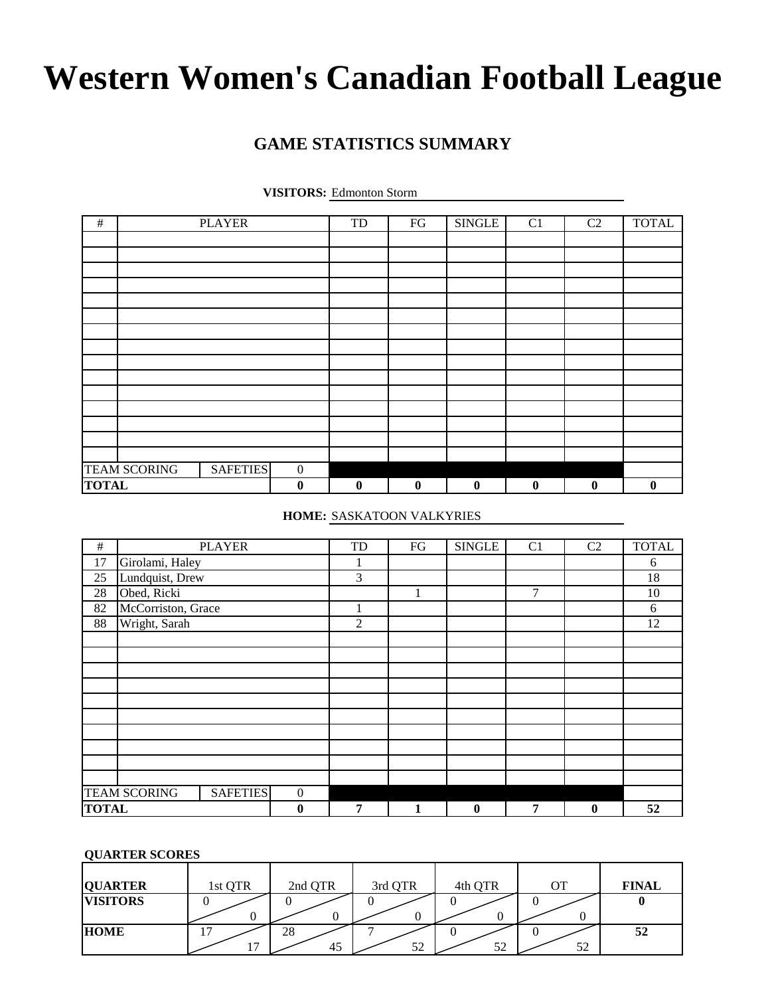### **GAME STATISTICS SUMMARY**

| <b>VISITORS:</b> Edmonton Storm |  |  |
|---------------------------------|--|--|
|---------------------------------|--|--|

| $\#$         |                     | <b>PLAYER</b>   |                  | TD               | ${\rm FG}$       | <b>SINGLE</b>    | C <sub>1</sub>   | C <sub>2</sub>   | <b>TOTAL</b> |
|--------------|---------------------|-----------------|------------------|------------------|------------------|------------------|------------------|------------------|--------------|
|              |                     |                 |                  |                  |                  |                  |                  |                  |              |
|              |                     |                 |                  |                  |                  |                  |                  |                  |              |
|              |                     |                 |                  |                  |                  |                  |                  |                  |              |
|              |                     |                 |                  |                  |                  |                  |                  |                  |              |
|              |                     |                 |                  |                  |                  |                  |                  |                  |              |
|              |                     |                 |                  |                  |                  |                  |                  |                  |              |
|              |                     |                 |                  |                  |                  |                  |                  |                  |              |
|              |                     |                 |                  |                  |                  |                  |                  |                  |              |
|              |                     |                 |                  |                  |                  |                  |                  |                  |              |
|              |                     |                 |                  |                  |                  |                  |                  |                  |              |
|              |                     |                 |                  |                  |                  |                  |                  |                  |              |
|              |                     |                 |                  |                  |                  |                  |                  |                  |              |
|              |                     |                 |                  |                  |                  |                  |                  |                  |              |
|              |                     |                 |                  |                  |                  |                  |                  |                  |              |
|              |                     |                 |                  |                  |                  |                  |                  |                  |              |
|              | <b>TEAM SCORING</b> | <b>SAFETIES</b> | $\boldsymbol{0}$ |                  |                  |                  |                  |                  |              |
| <b>TOTAL</b> |                     |                 | $\bf{0}$         | $\boldsymbol{0}$ | $\boldsymbol{0}$ | $\boldsymbol{0}$ | $\boldsymbol{0}$ | $\boldsymbol{0}$ | $\bf{0}$     |

**HOME:** SASKATOON VALKYRIES

| $\#$ |                     | <b>PLAYER</b>   |                  | TD             | FG | <b>SINGLE</b> | C <sub>1</sub> | C2       | <b>TOTAL</b> |
|------|---------------------|-----------------|------------------|----------------|----|---------------|----------------|----------|--------------|
| 17   | Girolami, Haley     |                 |                  | 1              |    |               |                |          | 6            |
| 25   | Lundquist, Drew     |                 |                  | 3              |    |               |                |          | 18           |
| 28   | Obed, Ricki         |                 |                  |                |    |               | $\overline{7}$ |          | 10           |
| 82   | McCorriston, Grace  |                 |                  |                |    |               |                |          | 6            |
| 88   | Wright, Sarah       |                 |                  | $\overline{2}$ |    |               |                |          | 12           |
|      |                     |                 |                  |                |    |               |                |          |              |
|      |                     |                 |                  |                |    |               |                |          |              |
|      |                     |                 |                  |                |    |               |                |          |              |
|      |                     |                 |                  |                |    |               |                |          |              |
|      |                     |                 |                  |                |    |               |                |          |              |
|      |                     |                 |                  |                |    |               |                |          |              |
|      |                     |                 |                  |                |    |               |                |          |              |
|      |                     |                 |                  |                |    |               |                |          |              |
|      |                     |                 |                  |                |    |               |                |          |              |
|      |                     |                 |                  |                |    |               |                |          |              |
|      | <b>TEAM SCORING</b> | <b>SAFETIES</b> | $\boldsymbol{0}$ |                |    |               |                |          |              |
|      | <b>TOTAL</b>        |                 | $\bf{0}$         | 7              | 1  | $\bf{0}$      | 7              | $\bf{0}$ | 52           |

### **QUARTER SCORES**

| <b>QUARTER</b>  | 1st QTR             | 2nd QTR  | 3rd QTR | 4th QTR | OТ | <b>FINAL</b> |
|-----------------|---------------------|----------|---------|---------|----|--------------|
| <b>VISITORS</b> |                     |          |         |         |    |              |
| <b>HOME</b>     | -<br>$\overline{ }$ | 28<br>45 | 52      | 52      | 52 | 52           |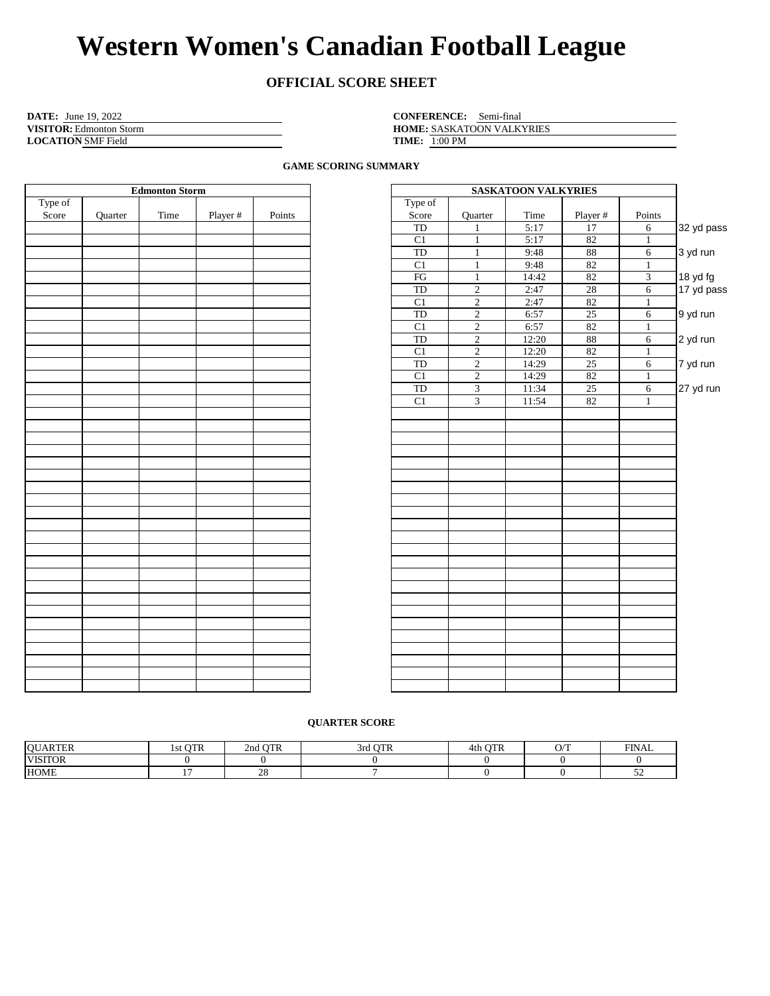### **OFFICIAL SCORE SHEET**

| <b>DATE:</b> June 19, 2022     | <b>CONFERENCE:</b> Semi-final |
|--------------------------------|-------------------------------|
| <b>VISITOR:</b> Edmonton Storm | <b>HOME: SASKATOON VALK</b>   |
| <b>LOCATION SMF Field</b>      | <b>TIME:</b> $1:00$ PM        |

SASKATOON VALKYRIES **TIME:** 1:00 PM

**GAME SCORING SUMMARY**

|         |         | <b>Edmonton Storm</b> |          |        |                        |                | <b>SASKATOON VALKYRIES</b> |          |                 |
|---------|---------|-----------------------|----------|--------|------------------------|----------------|----------------------------|----------|-----------------|
| Type of |         |                       |          |        | Type of                |                |                            |          |                 |
| Score   | Quarter | Time                  | Player # | Points | Score                  | Quarter        | Time                       | Player # | Points          |
|         |         |                       |          |        | TD                     | $\mathbf{1}$   | 5:17                       | 17       | $6\overline{6}$ |
|         |         |                       |          |        | C1                     | $\mathbf{1}$   | 5:17                       | 82       | $\,1$           |
|         |         |                       |          |        | <b>TD</b>              | $\mathbf{1}$   | 9:48                       | 88       | $\overline{6}$  |
|         |         |                       |          |        | C1                     | $\mathbf{1}$   | 9:48                       | 82       | $\mathbf{1}$    |
|         |         |                       |          |        | $\mathop{\mathrm{FG}}$ | $1\,$          | 14:42                      | 82       | $\overline{3}$  |
|         |         |                       |          |        | TD                     | $\overline{2}$ | 2:47                       | 28       | $\overline{6}$  |
|         |         |                       |          |        | C1                     | $\overline{2}$ | 2:47                       | 82       | $\mathbf{1}$    |
|         |         |                       |          |        | TD                     | $\overline{2}$ | 6:57                       | $25\,$   | $\overline{6}$  |
|         |         |                       |          |        | C1                     | $\overline{2}$ | 6:57                       | 82       | $\mathbf{1}$    |
|         |         |                       |          |        | TD                     | $\overline{2}$ | 12:20                      | $\bf 88$ | $\overline{6}$  |
|         |         |                       |          |        | C1                     | $\overline{2}$ | 12:20                      | 82       | $\mathbf{1}$    |
|         |         |                       |          |        | TD                     | $\overline{2}$ | 14:29                      | 25       | $\overline{6}$  |
|         |         |                       |          |        | C1                     | $\overline{2}$ | 14:29                      | 82       | $\mathbf{1}$    |
|         |         |                       |          |        | TD                     | $\overline{3}$ | 11:34                      | 25       | $\overline{6}$  |
|         |         |                       |          |        | C1                     | $\overline{3}$ | 11:54                      | 82       | $\mathbf{1}$    |
|         |         |                       |          |        |                        |                |                            |          |                 |
|         |         |                       |          |        |                        |                |                            |          |                 |
|         |         |                       |          |        |                        |                |                            |          |                 |
|         |         |                       |          |        |                        |                |                            |          |                 |
|         |         |                       |          |        |                        |                |                            |          |                 |
|         |         |                       |          |        |                        |                |                            |          |                 |
|         |         |                       |          |        |                        |                |                            |          |                 |
|         |         |                       |          |        |                        |                |                            |          |                 |
|         |         |                       |          |        |                        |                |                            |          |                 |
|         |         |                       |          |        |                        |                |                            |          |                 |
|         |         |                       |          |        |                        |                |                            |          |                 |
|         |         |                       |          |        |                        |                |                            |          |                 |
|         |         |                       |          |        |                        |                |                            |          |                 |
|         |         |                       |          |        |                        |                |                            |          |                 |
|         |         |                       |          |        |                        |                |                            |          |                 |
|         |         |                       |          |        |                        |                |                            |          |                 |
|         |         |                       |          |        |                        |                |                            |          |                 |
|         |         |                       |          |        |                        |                |                            |          |                 |
|         |         |                       |          |        |                        |                |                            |          |                 |
|         |         |                       |          |        |                        |                |                            |          |                 |
|         |         |                       |          |        |                        |                |                            |          |                 |
|         |         |                       |          |        |                        |                |                            |          |                 |
|         |         |                       |          |        |                        |                |                            |          |                 |

|            | <b>SASKATOON VALKYRIES</b> |          |       |                         |                 |  |  |  |  |  |  |  |  |  |
|------------|----------------------------|----------|-------|-------------------------|-----------------|--|--|--|--|--|--|--|--|--|
|            |                            |          |       |                         | Type of         |  |  |  |  |  |  |  |  |  |
|            | Points                     | Player # | Time  | Quarter                 | Score           |  |  |  |  |  |  |  |  |  |
| 32 yd pass | 6                          | 17       | 5:17  | 1                       | TD              |  |  |  |  |  |  |  |  |  |
|            | 1                          | 82       | 5:17  | 1                       | C1              |  |  |  |  |  |  |  |  |  |
| 3 yd run   | 6                          | 88       | 9:48  | $\mathbf{1}$            | $_{\rm TD}$     |  |  |  |  |  |  |  |  |  |
|            | $\mathbf{1}$               | 82       | 9:48  | $\mathbf{1}$            | $\overline{C1}$ |  |  |  |  |  |  |  |  |  |
| 18 yd fg   | $\overline{3}$             | 82       | 14:42 | $\mathbf{1}$            | $\overline{FG}$ |  |  |  |  |  |  |  |  |  |
| 17 yd pass | 6                          | 28       | 2:47  | $\overline{c}$          | TD              |  |  |  |  |  |  |  |  |  |
|            | 1                          | 82       | 2:47  | $\overline{c}$          | $\overline{C1}$ |  |  |  |  |  |  |  |  |  |
| 9 yd run   | 6                          | 25       | 6:57  | $\overline{c}$          | TD              |  |  |  |  |  |  |  |  |  |
|            | 1                          | 82       | 6:57  | $\overline{2}$          | C1              |  |  |  |  |  |  |  |  |  |
| 2 yd run   | 6                          | 88       | 12:20 | $\overline{2}$          | TD              |  |  |  |  |  |  |  |  |  |
|            | $\mathbf{1}$               | 82       | 12:20 | $\sqrt{2}$              | C1              |  |  |  |  |  |  |  |  |  |
| 7 yd run   | 6                          | 25       | 14:29 | $\overline{2}$          | TD              |  |  |  |  |  |  |  |  |  |
|            | 1                          | 82       | 14:29 | $\overline{c}$          | C1              |  |  |  |  |  |  |  |  |  |
| 27 yd run  | 6                          | 25       | 11:34 | 3                       | $_{\rm TD}$     |  |  |  |  |  |  |  |  |  |
|            | 1                          | 82       | 11:54 | $\overline{\mathbf{3}}$ | C1              |  |  |  |  |  |  |  |  |  |
|            |                            |          |       |                         |                 |  |  |  |  |  |  |  |  |  |
|            |                            |          |       |                         |                 |  |  |  |  |  |  |  |  |  |
|            |                            |          |       |                         |                 |  |  |  |  |  |  |  |  |  |
|            |                            |          |       |                         |                 |  |  |  |  |  |  |  |  |  |
|            |                            |          |       |                         |                 |  |  |  |  |  |  |  |  |  |
|            |                            |          |       |                         |                 |  |  |  |  |  |  |  |  |  |
|            |                            |          |       |                         |                 |  |  |  |  |  |  |  |  |  |
|            |                            |          |       |                         |                 |  |  |  |  |  |  |  |  |  |
|            |                            |          |       |                         |                 |  |  |  |  |  |  |  |  |  |
|            |                            |          |       |                         |                 |  |  |  |  |  |  |  |  |  |
|            |                            |          |       |                         |                 |  |  |  |  |  |  |  |  |  |
|            |                            |          |       |                         |                 |  |  |  |  |  |  |  |  |  |
|            |                            |          |       |                         |                 |  |  |  |  |  |  |  |  |  |
|            |                            |          |       |                         |                 |  |  |  |  |  |  |  |  |  |
|            |                            |          |       |                         |                 |  |  |  |  |  |  |  |  |  |
|            |                            |          |       |                         |                 |  |  |  |  |  |  |  |  |  |
|            |                            |          |       |                         |                 |  |  |  |  |  |  |  |  |  |
|            |                            |          |       |                         |                 |  |  |  |  |  |  |  |  |  |
|            |                            |          |       |                         |                 |  |  |  |  |  |  |  |  |  |
|            |                            |          |       |                         |                 |  |  |  |  |  |  |  |  |  |
|            |                            |          |       |                         |                 |  |  |  |  |  |  |  |  |  |
|            |                            |          |       |                         |                 |  |  |  |  |  |  |  |  |  |
|            |                            |          |       |                         |                 |  |  |  |  |  |  |  |  |  |

### **QUARTER SCORE**

| <b>OUARTER</b> | <b>OTR</b><br>15t | <b>OTR</b><br>2nd | $\alpha$ mm<br>- STO | $\alpha$ mp<br>4th | $\cap$ T<br>. ., | <b>FINAL</b> |
|----------------|-------------------|-------------------|----------------------|--------------------|------------------|--------------|
| <b>VISITOR</b> |                   |                   |                      |                    |                  |              |
| <b>HOME</b>    | - -               | $\Omega$<br>້     |                      |                    |                  | - -          |